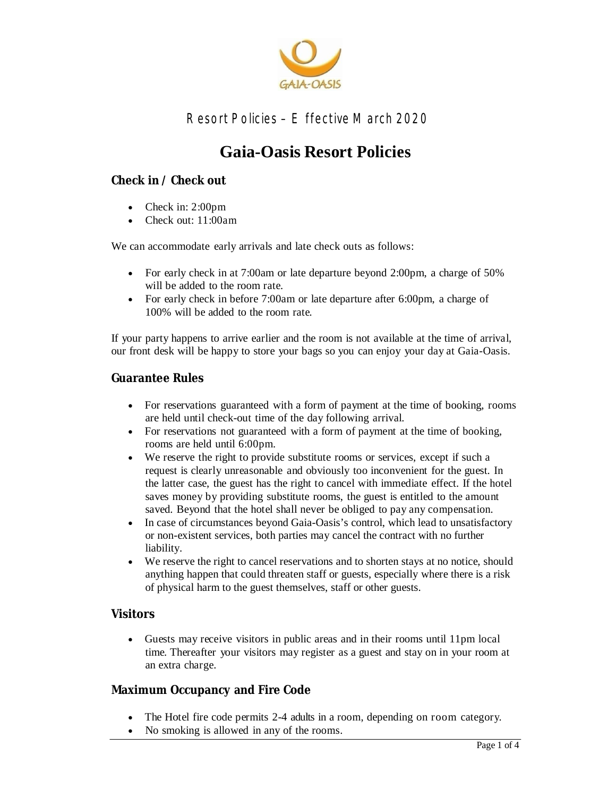

# **Gaia-Oasis Resort Policies**

#### **Check in / Check out**

- Check in: 2:00pm
- Check out: 11:00am

We can accommodate early arrivals and late check outs as follows:

- For early check in at 7:00am or late departure beyond 2:00pm, a charge of 50% will be added to the room rate.
- For early check in before 7:00am or late departure after 6:00pm, a charge of 100% will be added to the room rate.

If your party happens to arrive earlier and the room is not available at the time of arrival, our front desk will be happy to store your bags so you can enjoy your day at Gaia-Oasis.

#### **Guarantee Rules**

- For reservations guaranteed with a form of payment at the time of booking, rooms are held until check-out time of the day following arrival.
- For reservations not guaranteed with a form of payment at the time of booking, rooms are held until 6:00pm.
- We reserve the right to provide substitute rooms or services, except if such a request is clearly unreasonable and obviously too inconvenient for the guest. In the latter case, the guest has the right to cancel with immediate effect. If the hotel saves money by providing substitute rooms, the guest is entitled to the amount saved. Beyond that the hotel shall never be obliged to pay any compensation.
- In case of circumstances beyond Gaia-Oasis's control, which lead to unsatisfactory or non-existent services, both parties may cancel the contract with no further liability.
- We reserve the right to cancel reservations and to shorten stays at no notice, should anything happen that could threaten staff or guests, especially where there is a risk of physical harm to the guest themselves, staff or other guests.

#### **Visitors**

 Guests may receive visitors in public areas and in their rooms until 11pm local time. Thereafter your visitors may register as a guest and stay on in your room at an extra charge.

#### **Maximum Occupancy and Fire Code**

- The Hotel fire code permits 2-4 adults in a room, depending on room category.
- No smoking is allowed in any of the rooms.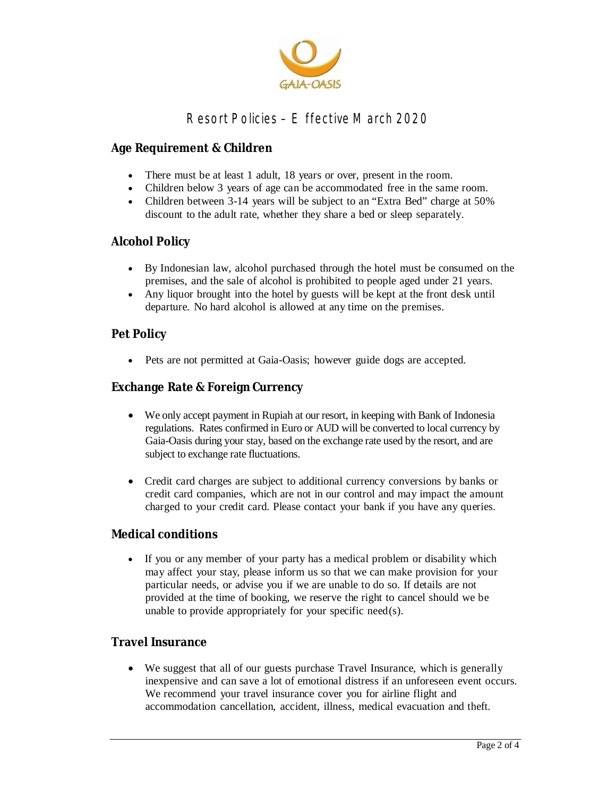

### **Age Requirement & Children**

- There must be at least 1 adult, 18 years or over, present in the room.
- Children below 3 years of age can be accommodated free in the same room.
- Children between 3-14 years will be subject to an "Extra Bed" charge at 50% discount to the adult rate, whether they share a bed or sleep separately.

#### **Alcohol Policy**

- By Indonesian law, alcohol purchased through the hotel must be consumed on the premises, and the sale of alcohol is prohibited to people aged under 21 years.
- Any liquor brought into the hotel by guests will be kept at the front desk until departure. No hard alcohol is allowed at any time on the premises.

#### **Pet Policy**

Pets are not permitted at Gaia-Oasis; however guide dogs are accepted.

#### **Exchange Rate & Foreign Currency**

- We only accept payment in Rupiah at our resort, in keeping with Bank of Indonesia regulations. Rates confirmed in Euro or AUD will be converted to local currency by Gaia-Oasis during your stay, based on the exchange rate used by the resort, and are subject to exchange rate fluctuations.
- Credit card charges are subject to additional currency conversions by banks or credit card companies, which are not in our control and may impact the amount charged to your credit card. Please contact your bank if you have any queries.

#### **Medical conditions**

 If you or any member of your party has a medical problem or disability which may affect your stay, please inform us so that we can make provision for your particular needs, or advise you if we are unable to do so. If details are not provided at the time of booking, we reserve the right to cancel should we be unable to provide appropriately for your specific need(s).

#### **Travel Insurance**

 We suggest that all of our guests purchase Travel Insurance, which is generally inexpensive and can save a lot of emotional distress if an unforeseen event occurs. We recommend your travel insurance cover you for airline flight and accommodation cancellation, accident, illness, medical evacuation and theft.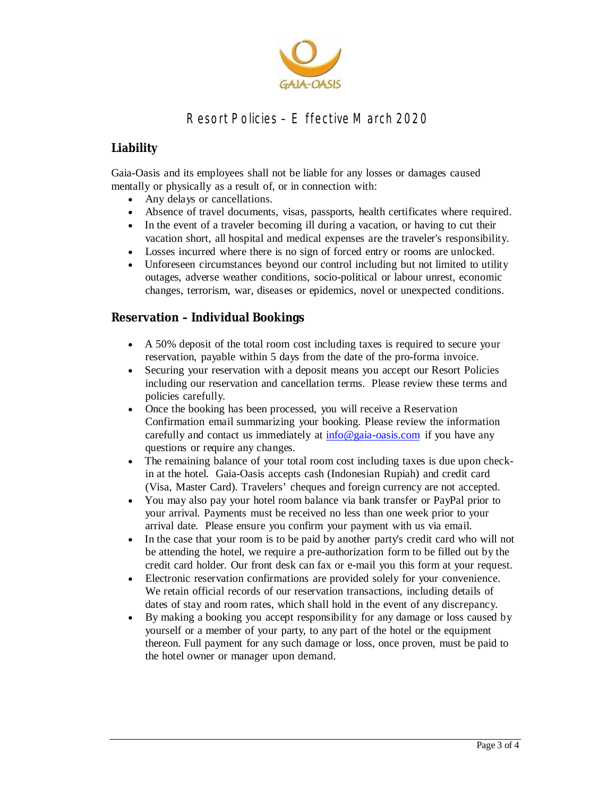

### **Liability**

Gaia-Oasis and its employees shall not be liable for any losses or damages caused mentally or physically as a result of, or in connection with:

- Any delays or cancellations.
- Absence of travel documents, visas, passports, health certificates where required.
- In the event of a traveler becoming ill during a vacation, or having to cut their vacation short, all hospital and medical expenses are the traveler's responsibility.
- Losses incurred where there is no sign of forced entry or rooms are unlocked.
- Unforeseen circumstances beyond our control including but not limited to utility outages, adverse weather conditions, socio-political or labour unrest, economic changes, terrorism, war, diseases or epidemics, novel or unexpected conditions.

### **Reservation – Individual Bookings**

- A 50% deposit of the total room cost including taxes is required to secure your reservation, payable within 5 days from the date of the pro-forma invoice.
- Securing your reservation with a deposit means you accept our Resort Policies including our reservation and cancellation terms. Please review these terms and policies carefully.
- Once the booking has been processed, you will receive a Reservation Confirmation email summarizing your booking. Please review the information carefully and contact us immediately at  $info@gaia-oasis.com$  if you have any questions or require any changes.
- The remaining balance of your total room cost including taxes is due upon checkin at the hotel. Gaia-Oasis accepts cash (Indonesian Rupiah) and credit card (Visa, Master Card). Travelers' cheques and foreign currency are not accepted.
- You may also pay your hotel room balance via bank transfer or PayPal prior to your arrival. Payments must be received no less than one week prior to your arrival date. Please ensure you confirm your payment with us via email.
- In the case that your room is to be paid by another party's credit card who will not be attending the hotel, we require a pre-authorization form to be filled out by the credit card holder. Our front desk can fax or e-mail you this form at your request.
- Electronic reservation confirmations are provided solely for your convenience. We retain official records of our reservation transactions, including details of dates of stay and room rates, which shall hold in the event of any discrepancy.
- By making a booking you accept responsibility for any damage or loss caused by yourself or a member of your party, to any part of the hotel or the equipment thereon. Full payment for any such damage or loss, once proven, must be paid to the hotel owner or manager upon demand.